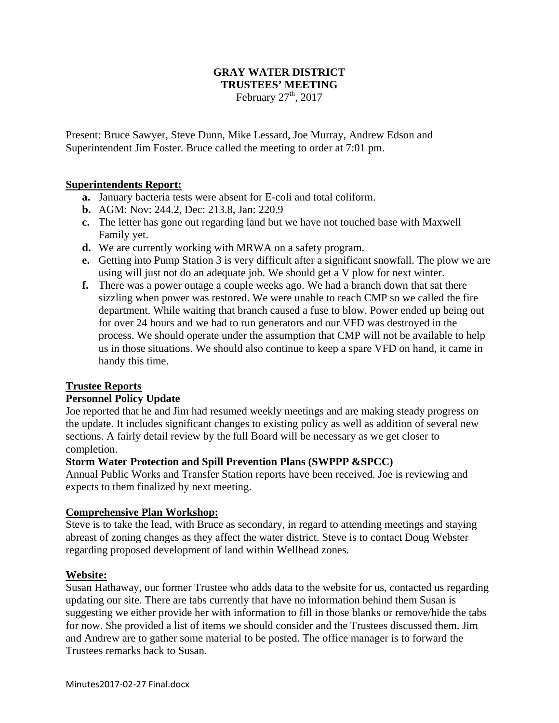# **GRAY WATER DISTRICT TRUSTEES' MEETING**

February  $27<sup>th</sup>$ , 2017

Present: Bruce Sawyer, Steve Dunn, Mike Lessard, Joe Murray, Andrew Edson and Superintendent Jim Foster. Bruce called the meeting to order at 7:01 pm.

## **Superintendents Report:**

- **a.** January bacteria tests were absent for E-coli and total coliform.
- **b.** AGM: Nov: 244.2, Dec: 213.8, Jan: 220.9
- **c.** The letter has gone out regarding land but we have not touched base with Maxwell Family yet.
- **d.** We are currently working with MRWA on a safety program.
- **e.** Getting into Pump Station 3 is very difficult after a significant snowfall. The plow we are using will just not do an adequate job. We should get a V plow for next winter.
- **f.** There was a power outage a couple weeks ago. We had a branch down that sat there sizzling when power was restored. We were unable to reach CMP so we called the fire department. While waiting that branch caused a fuse to blow. Power ended up being out for over 24 hours and we had to run generators and our VFD was destroyed in the process. We should operate under the assumption that CMP will not be available to help us in those situations. We should also continue to keep a spare VFD on hand, it came in handy this time.

## **Trustee Reports**

## **Personnel Policy Update**

Joe reported that he and Jim had resumed weekly meetings and are making steady progress on the update. It includes significant changes to existing policy as well as addition of several new sections. A fairly detail review by the full Board will be necessary as we get closer to completion.

## **Storm Water Protection and Spill Prevention Plans (SWPPP &SPCC)**

Annual Public Works and Transfer Station reports have been received. Joe is reviewing and expects to them finalized by next meeting.

## **Comprehensive Plan Workshop:**

Steve is to take the lead, with Bruce as secondary, in regard to attending meetings and staying abreast of zoning changes as they affect the water district. Steve is to contact Doug Webster regarding proposed development of land within Wellhead zones.

## **Website:**

Susan Hathaway, our former Trustee who adds data to the website for us, contacted us regarding updating our site. There are tabs currently that have no information behind them Susan is suggesting we either provide her with information to fill in those blanks or remove/hide the tabs for now. She provided a list of items we should consider and the Trustees discussed them. Jim and Andrew are to gather some material to be posted. The office manager is to forward the Trustees remarks back to Susan.